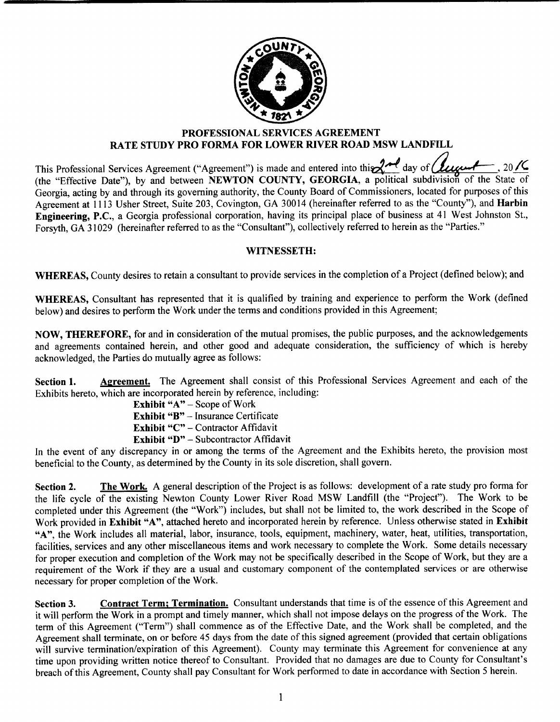

## PROFESSIONAL SERVICES AGREEMENT RATE STUDY PRO FORMA FOR LOWER RIVER ROAD MSW LANDFILL

This Professional Services Agreement ("Agreement") is made and entered into this  $\chi$ <sup>2</sup> day of  $(2\mu\mu + \frac{1}{2}, 20)$ the "Effective Date"), by and between NEWTON COUNTY, GEORGIA, a political subdivision of the State of Georgia, acting by and through its governing authority, the County Board of Commissioners, located for purposes of this Agreement at 1113 Usher Street, Suite 203, Covington, GA 30014 (hereinafter referred to as the "County"), and Harbin Engineering, P.C., <sup>a</sup> Georgia professional corporation, having its principal place of business at <sup>41</sup> West Johnston St., Forsyth, GA 31029 (hereinafter referred to as the "Consultant"), collectively referred to herein as the "Parties."

## WITNESSETH:

WHEREAS, County desires to retain a consultant to provide services in the completion of a Project (defined below); and

WHEREAS, Consultant has represented that it is qualified by training and experience to perform the Work ( defined below) and desires to perform the Work under the terms and conditions provided in this Agreement;

NOW, THEREFORE, for and in consideration of the mutual promises, the public purposes, and the acknowledgements and agreements contained herein, and other good and adequate consideration, the sufficiency of which is hereby acknowledged, the Parties do mutually agree as follows:

Section 1. Agreement. The Agreement shall consist of this Professional Services Agreement and each of the Exhibits hereto, which are incorporated herein by reference, including:

Exhibit "A" – Scope of Work Exhibit "B" – Insurance Certificate Exhibit "C" - Contractor Affidavit Exhibit "D" - Subcontractor Affidavit

In the event of any discrepancy in or among the terms of the Agreement and the Exhibits hereto, the provision most beneficial to the County, as determined by the County in its sole discretion, shall govern.

Section 2. The Work. A general description of the Project is as follows: development of a rate study pro forma for the life cycle of the existing Newton County Lower River Road MSW Landfill ( the " Project"). The Work to be completed under this Agreement (the "Work") includes, but shall not be limited to, the work described in the Scope of Work provided in Exhibit "A", attached hereto and incorporated herein by reference. Unless otherwise stated in Exhibit A", the Work includes all material, labor, insurance, tools, equipment, machinery, water, heat, utilities, transportation, facilities, services and any other miscellaneous items and work necessary to complete the Work. Some details necessary for proper execution and completion of the Work may not be specifically described in the Scope of Work, but they are <sup>a</sup> requirement of the Work if they are <sup>a</sup> usual and customary component of the contemplated services or are otherwise necessary for proper completion of the Work.

Section 3. Contract Term; Termination. Consultant understands that time is of the essence of this Agreement and it will perform the Work in <sup>a</sup> prompt and timely manner, which shall not impose delays on the progress of the Work. The term of this Agreement ("Term") shall commence as of the Effective Date, and the Work shall be completed, and the Agreement shall terminate, on or before 45 days from the date of this signed agreement ( provided that certain obligations will survive termination/ expiration of this Agreement). County may terminate this Agreement for convenience at any time upon providing written notice thereof to Consultant. Provided that no damages are due to County for Consultant's breach of this Agreement, County shall pay Consultant for Work performed to date in accordance with Section <sup>5</sup> herein.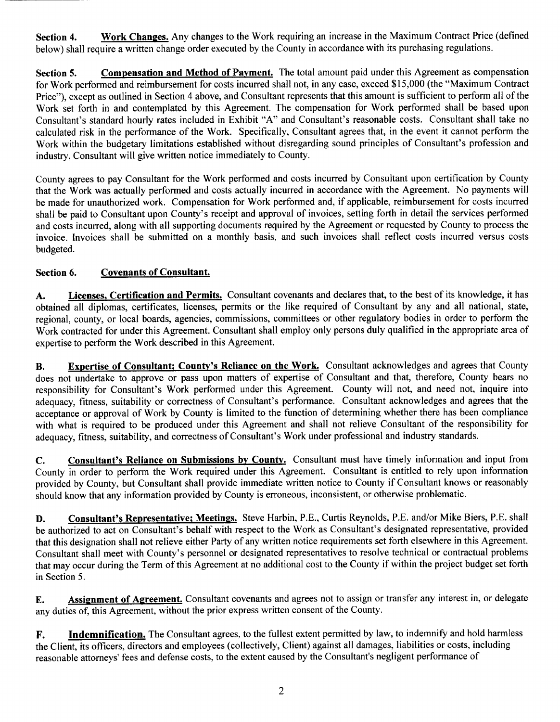Section 4. Work Changes. Any changes to the Work requiring an increase in the Maximum Contract Price (defined below) shall require a written change order executed by the County in accordance with its purchasing regulations.

Section 5. Compensation and Method of Payment. The total amount paid under this Agreement as compensation for Work performed and reimbursement for costs incurred shall not, in any case, exceed \$15,000 (the "Maximum Contract Price"), except as outlined in Section 4 above, and Consultant represents that this amount is sufficient to perform all of the Work set forth in and contemplated by this Agreement. The compensation for Work performed shall be based upon Consultant's standard hourly rates included in Exhibit "A" and Consultant's reasonable costs. Consultant shall take no calculated risk in the performance of the Work. Specifically, Consultant agrees that, in the event it cannot perform the Work within the budgetary limitations established without disregarding sound principles of Consultant's profession and industry, Consultant will give written notice immediately to County.

County agrees to pay Consultant for the Work performed and costs incurred by Consultant upon certification by County that the Work was actually performed and costs actually incurred in accordance with the Agreement. No payments will be made for unauthorized work. Compensation for Work performed and, if applicable, reimbursement for costs incurred shall be paid to Consultant upon County's receipt and approval of invoices, setting forth in detail the services performed and costs incurred, along with all supporting documents required by the Agreement or requested by County to process the invoice. Invoices shall be submitted on a monthly basis, and such invoices shall reflect costs incurred versus costs budgeted.

## Section 6. Covenants of Consultant.

A. Licenses, Certification and Permits. Consultant covenants and declares that, to the best of its knowledge, it has obtained all diplomas, certificates, licenses, permits or the like required of Consultant by any and all national, state, regional, county, or local boards, agencies, commissions, committees or other regulatory bodies in order to perform the Work contracted for under this Agreement. Consultant shall employ only persons duly qualified in the appropriate area of expertise to perform the Work described in this Agreement.

B. Expertise of Consultant; County's Reliance on the Work. Consultant acknowledges and agrees that County does not undertake to approve or pass upon matters of expertise of Consultant and that, therefore, County bears no responsibility for Consultant's Work performed under this Agreement. County will not, and need not, inquire into adequacy, fitness, suitability or correctness of Consultant's performance. Consultant acknowledges and agrees that the acceptance or approval of Work by County is limited to the function of determining whether there has been compliance with what is required to be produced under this Agreement and shall not relieve Consultant of the responsibility for adequacy, fitness, suitability, and correctness of Consultant's Work under professional and industry standards.

C. Consultant's Reliance on Submissions by County. Consultant must have timely information and input from County in order to perform the Work required under this Agreement. Consultant is entitled to rely upon information provided by County, but Consultant shall provide immediate written notice to County if Consultant knows or reasonably should know that any information provided by County is erroneous, inconsistent, or otherwise problematic.

D. Consultant's Representative; Meetings. Steve Harbin, P.E., Curtis Reynolds, P.E. and/or Mike Biers, P.E. shall be authorized to act on Consultant's behalf with respect to the Work as Consultant's designated representative, provided that this designation shall not relieve either Party of any written notice requirements set forth elsewhere in this Agreement. Consultant shall meet with County's personnel or designated representatives to resolve technical or contractual problems that may occur during the Term of this Agreement at no additional cost to the County if within the project budget set forth in Section 5.

E. Assignment of Agreement. Consultant covenants and agrees not to assign or transfer any interest in, or delegate any duties of, this Agreement, without the prior express written consent of the County.

F. Indemnification. The Consultant agrees, to the fullest extent permitted by law, to indemnify and hold harmless the Client, its officers, directors and employees (collectively, Client) against all damages, liabilities or costs, including reasonable attorneys' fees and defense costs, to the extent caused by the Consultant's negligent performance of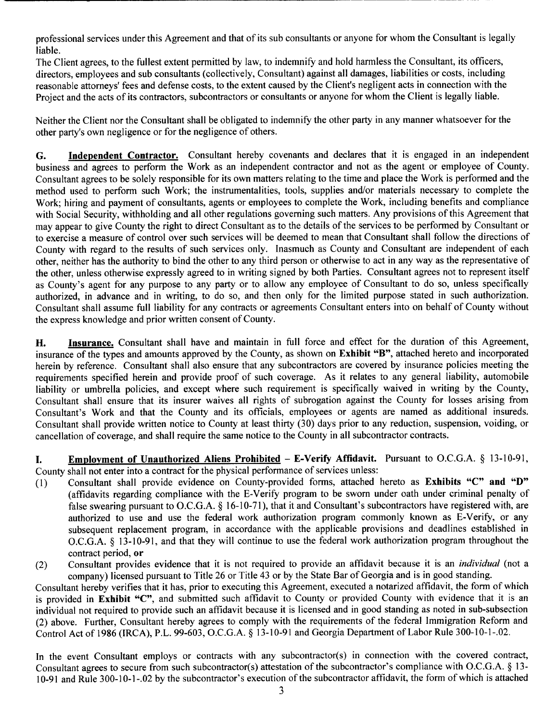professional services under this Agreement and that of its sub consultants or anyone for whom the Consultant is legally liable.

The Client agrees, to the fullest extent permitted by law, to indemnify and hold harmless the Consultant, its officers, directors, employees and sub consultants (collectively, Consultant) against all damages, liabilities or costs, including reasonable attorneys' fees and defense costs, to the extent caused by the Client's negligent acts in connection with the Project and the acts of its contractors, subcontractors or consultants or anyone for whom the Client is legally liable.

Neither the Client nor the Consultant shall be obligated to indemnify the other party in any manner whatsoever for the other party's own negligence or for the negligence of others.

G. Independent Contractor. Consultant hereby covenants and declares that it is engaged in an independent business and agrees to perform the Work as an independent contractor and not as the agent or employee of County. Consultant agrees to be solely responsible for its own matters relating to the time and place the Work is performed and the method used to perform such Work; the instrumentalities, tools, supplies and/or materials necessary to complete the Work; hiring and payment of consultants, agents or employees to complete the Work, including benefits and compliance with Social Security, withholding and all other regulations governing such matters. Any provisions of this Agreement that may appear to give County the right to direct Consultant as to the details of the services to be performed by Consultant or to exercise <sup>a</sup> measure of control over such services will be deemed to mean that Consultant shall follow the directions of County with regard to the results of such services only. Inasmuch as County and Consultant are independent of each other, neither has the authority to bind the other to any third person or otherwise to act in any way as the representative of the other, unless otherwise expressly agreed to in writing signed by both Parties. Consultant agrees not to represent itself as County's agent for any purpose to any party or to allow any employee of Consultant to do so, unless specifically authorized, in advance and in writing, to do so, and then only for the limited purpose stated in such authorization. Consultant shall assume full liability for any contracts or agreements Consultant enters into on behalf of County without the express knowledge and prior written consent of County.

H. Insurance. Consultant shall have and maintain in full force and effect for the duration of this Agreement, insurance of the types and amounts approved by the County, as shown on Exhibit "B", attached hereto and incorporated herein by reference. Consultant shall also ensure that any subcontractors are covered by insurance policies meeting the requirements specified herein and provide proof of such coverage. As it relates to any general liability, automobile liability or umbrella policies, and except where such requirement is specifically waived in writing by the County, Consultant shall ensure that its insurer waives all rights of subrogation against the County for losses arising from Consultant's Work and that the County and its officials, employees or agents are named as additional insureds. Consultant shall provide written notice to County at least thirty (30) days prior to any reduction, suspension, voiding, or cancellation of coverage, and shall require the same notice to the County in all subcontractor contracts.

I. Employment of Unauthorized Aliens Prohibited - E-Verify Affidavit. Pursuant to O.C.G.A. § 13-10-91, County shall not enter into a contract for the physical performance of services unless:<br>(1) Consultant shall provide evidence on County-provided forms, attached 1

- Consultant shall provide evidence on County-provided forms, attached hereto as Exhibits "C" and "D" affidavits regarding compliance with the E- Verify program to be sworn under oath under criminal penalty of false swearing pursuant to O.C.G.A. § 16-10-71), that it and Consultant's subcontractors have registered with, are authorized to use and use the federal work authorization program commonly known as E-Verify, or any subsequent replacement program, in accordance with the applicable provisions and deadlines established in O.C.G.A. § 13-10-91, and that they will continue to use the federal work authorization program throughout the contract period, or
- (2) Consultant provides evidence that it is not required to provide an affidavit because it is an *individual* (not a company) licensed pursuant to Title 26 or Title 43 or by the State Bar of Georgia and is in good standing.

Consultant hereby verifies that it has, prior to executing this Agreement, executed <sup>a</sup> notarized affidavit, the form of which is provided in Exhibit "C", and submitted such affidavit to County or provided County with evidence that it is an individual not required to provide such an affidavit because it is licensed and in good standing as noted in sub-subsection 2) above. Further, Consultant hereby agrees to comply with the requirements of the federal Immigration Reform and Control Act of 1986 (IRCA), P.L. 99-603, O.C.G.A. § 13-10-91 and Georgia Department of Labor Rule 300-10-1-.02.

In the event Consultant employs or contracts with any subcontractor(s) in connection with the covered contract, Consultant agrees to secure from such subcontractor(s) attestation of the subcontractor's compliance with O.C.G.A. § 13-10- <sup>91</sup> and Rule 300- 10- 1-. 02 by the subcontractor' <sup>s</sup> execution of the subcontractor affidavit, the form of which is attached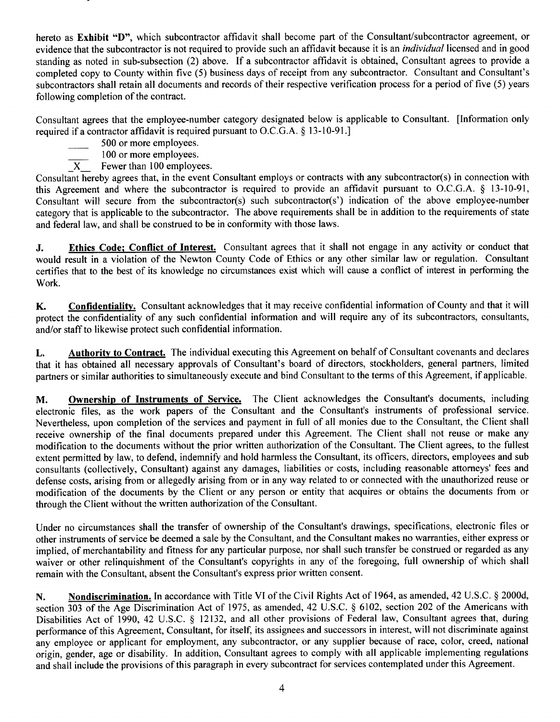hereto as Exhibit "D", which subcontractor affidavit shall become part of the Consultant/subcontractor agreement, or evidence that the subcontractor is not required to provide such an affidavit because it is an *individual* licensed and in good standing as noted in sub-subsection (2) above. If a subcontractor affidavit is obtained, Consultant agrees to provide a completed copy to County within five (5) business days of receipt from any subcontractor. Consultant and Consultant's subcontractors shall retain all documents and records of their respective verification process for a period of five (5) years following completion of the contract.

Consultant agrees that the employee-number category designated below is applicable to Consultant. [ Information only required if a contractor affidavit is required pursuant to O.C.G.A. § 13-10-91.]

- 500 or more employees.
- 100 or more employees.
- $\overline{X}$  Fewer than 100 employees.

Consultant hereby agrees that, in the event Consultant employs or contracts with any subcontractor(s) in connection with this Agreement and where the subcontractor is required to provide an affidavit pursuant to O.C.G.A.  $\S$  13-10-91, Consultant will secure from the subcontractor(s) such subcontractor(s') indication of the above employee-number category that is applicable to the subcontractor. The above requirements shall be in addition to the requirements of state and federal law, and shall be construed to be in conformity with those laws.

J. Ethics Code; Conflict of Interest. Consultant agrees that it shall not engage in any activity or conduct that would result in <sup>a</sup> violation of the Newton County Code of Ethics or any other similar law or regulation. Consultant certifies that to the best of its knowledge no circumstances exist which will cause <sup>a</sup> conflict of interest in performing the Work.

K. Confidentiality. Consultant acknowledges that it may receive confidential information of County and that it will protect the confidentiality of any such confidential information and will require any of its subcontractors, consultants, and/or staff to likewise protect such confidential information.

L. Authority to Contract. The individual executing this Agreement on behalf of Consultant covenants and declares that it has obtained all necessary approvals of Consultant's board of directors, stockholders, general partners, limited partners or similar authorities to simultaneously execute and bind Consultant to the terms of this Agreement, if applicable.

M. Ownership of Instruments of Service. The Client acknowledges the Consultant's documents, including electronic files, as the work papers of the Consultant and the Consultant's instruments of professional service. Nevertheless, upon completion of the services and payment in full of all monies due to the Consultant, the Client shall receive ownership of the final documents prepared under this Agreement. The Client shall not reuse or make any modification to the documents without the prior written authorization of the Consultant. The Client agrees, to the fullest extent permitted by law, to defend, indemnify and hold harmless the Consultant, its officers, directors, employees and sub consultants ( collectively, Consultant) against any damages, liabilities or costs, including reasonable attorneys' fees and defense costs, arising from or allegedly arising from or in any way related to or connected with the unauthorized reuse or modification of the documents by the Client or any person or entity that acquires or obtains the documents from or through the Client without the written authorization of the Consultant.

Under no circumstances shall the transfer of ownership of the Consultant's drawings, specifications, electronic files or other instruments of service be deemed <sup>a</sup> sale by the Consultant, and the Consultant makes no warranties, either express or implied, of merchantability and fitness for any particular purpose, nor shall such transfer be construed or regarded as any waiver or other relinquishment of the Consultant's copyrights in any of the foregoing, full ownership of which shall remain with the Consultant, absent the Consultant's express prior written consent.

N. Nondiscrimination. In accordance with Title VI of the Civil Rights Act of 1964, as amended, 42 U.S.C. § 2000d, section 303 of the Age Discrimination Act of 1975, as amended, 42 U.S.C. § 6102, section 202 of the Americans with Disabilities Act of 1990, 42 U.S.C. § 12132, and all other provisions of Federal law, Consultant agrees that, during performance of this Agreement, Consultant, for itself, its assignees and successors in interest, will not discriminate against any employee or applicant for employment, any subcontractor, or any supplier because of race, color, creed, national origin, gender, age or disability. In addition, Consultant agrees to comply with all applicable implementing regulations and shall include the provisions of this paragraph in every subcontract for services contemplated under this Agreement.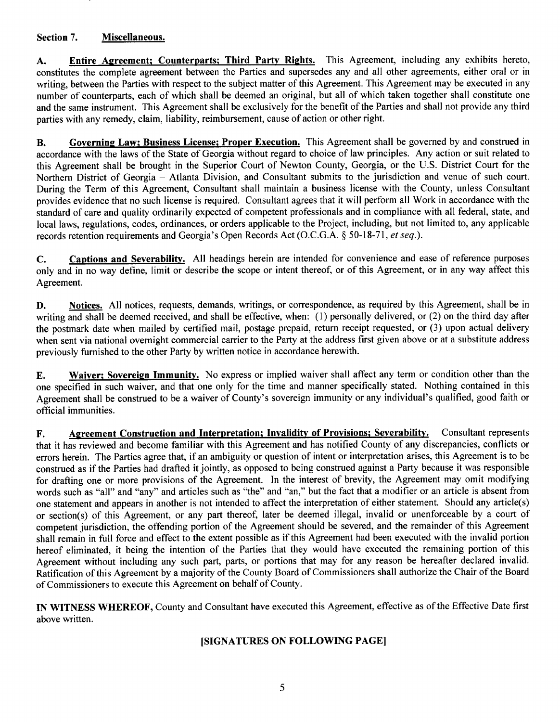## Section 7. Miscellaneous.

A. Entire Agreement; Counterparts; Third Party Rights. This Agreement, including any exhibits hereto, constitutes the complete agreement between the Parties and supersedes any and all other agreements, either oral or in writing, between the Parties with respect to the subject matter of this Agreement. This Agreement may be executed in any number of counterparts, each of which shall be deemed an original, but all of which taken together shall constitute one and the same instrument. This Agreement shall be exclusively for the benefit of the Parties and shall not provide any third parties with any remedy, claim, liability, reimbursement, cause of action or other right.

B. Governing Law; Business License; Proper Execution. This Agreement shall be governed by and construed in accordance with the laws of the State of Georgia without regard to choice of law principles. Any action or suit related to this Agreement shall be brought in the Superior Court of Newton County, Georgia, or the U.S. District Court for the Northern District of Georgia — Atlanta Division, and Consultant submits to the jurisdiction and venue of such court. During the Term of this Agreement, Consultant shall maintain <sup>a</sup> business license with the County, unless Consultant provides evidence that no such license is required. Consultant agrees that it will perform all Work in accordance with the standard of care and quality ordinarily expected of competent professionals and in compliance with all federal, state, and local laws, regulations, codes, ordinances, or orders applicable to the Project, including, but not limited to, any applicable records retention requirements and Georgia's Open Records Act (O.C.G.A. § 50-18-71, et seq.).

C. Captions and Severability. All headings herein are intended for convenience and ease of reference purposes only and in no way define, limit or describe the scope or intent thereof, or of this Agreement, or in any way affect this Agreement.

D. Notices. All notices, requests, demands, writings, or correspondence, as required by this Agreement, shall be in writing and shall be deemed received, and shall be effective, when: (1) personally delivered, or (2) on the third day after the postmark date when mailed by certified mail, postage prepaid, return receipt requested, or (3) upon actual delivery when sent via national overnight commercial carrier to the Party at the address first given above or at a substitute address previously furnished to the other Party by written notice in accordance herewith.

E. Waiver; Sovereign Immunity. No express or implied waiver shall affect any term or condition other than the one specified in such waiver, and that one only for the time and manner specifically stated. Nothing contained in this Agreement shall be construed to be a waiver of County's sovereign immunity or any individual's qualified, good faith or official immunities.

F. Agreement Construction and Interpretation; Invalidity of Provisions; Severability. Consultant represents that it has reviewed and become familiar with this Agreement and has notified County of any discrepancies, conflicts or errors herein. The Parties agree that, if an ambiguity or question of intent or interpretation arises, this Agreement is to be construed as if the Parties had drafted it jointly, as opposed to being construed against <sup>a</sup> Party because it was responsible for drafting one or more provisions of the Agreement. In the interest of brevity, the Agreement may omit modifying words such as "all" and "any" and articles such as "the" and "an," but the fact that a modifier or an article is absent from one statement and appears in another is not intended to affect the interpretation of either statement. Should any article( s) or section( s) of this Agreement, or any part thereof, later be deemed illegal, invalid or unenforceable by <sup>a</sup> court of competent jurisdiction, the offending portion of the Agreement should be severed, and the remainder of this Agreement shall remain in full force and effect to the extent possible as if this Agreement had been executed with the invalid portion hereof eliminated, it being the intention of the Parties that they would have executed the remaining portion of this Agreement without including any such part, parts, or portions that may for any reason be hereafter declared invalid. Ratification of this Agreement by <sup>a</sup> majority of the County Board of Commissioners shall authorize the Chair of the Board of Commissioners to execute this Agreement on behalf of County.

IN WITNESS WHEREOF, County and Consultant have executed this Agreement, effective as of the Effective Date first above written.

## SIGNATURES ON FOLLOWING PAGE]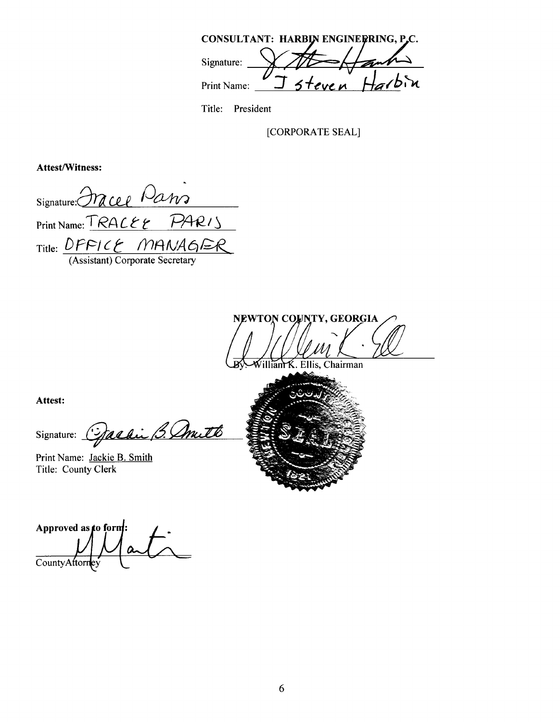|             | CONSULTANT: HARBIN ENGINERRING, P.C. |       |
|-------------|--------------------------------------|-------|
| Signature:  |                                      |       |
| Print Name: | steven                               | Ha/bn |

Title: President

CORPORATE SEAL]

Attest/Witness:

Signature: <u>Ora ce e</u> Pa Print Name: TRACEE PARIS Title: *DFFICE MANAG* 

Assistant) Corporate Secretary

NEWTON COUNTY, GEORGIA <u>f</u> K. Ellis, Chairman

Attest:

Signature: Gardin B. Annutt

Print Name: Jackie B. Smith Title: County Clerk

Approved as  $\phi$  form: CountyAttori y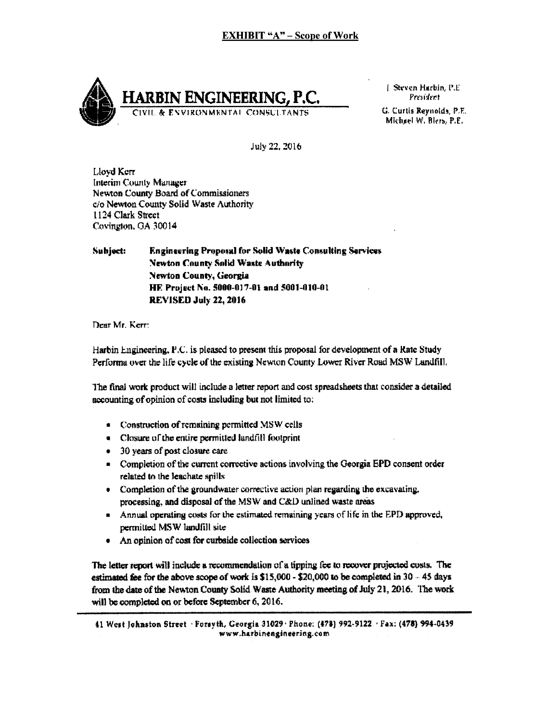

[ Steven Harbin, P.E. President

Michael W. Blers, P.E.

July 22. 2016

Lloyd Kerr Interim County Manager Ne%ion County Board of Commissioners c/o Newton County Solid Waste Authority 1124 Clark Street Covington, GA 30014

Subject: Engineering Proposal for Solid Waste Consulting Services Newton County Solid Waste Authority Newton County, Georgia HE. Project No. 5000-017-01 and 5001-010-01 REVISED July 22, 2016

Dear Mr. Kerr.

Harbin Engineering,  $P.C.$  is pleased to present this proposal for development of a Rate Study Performa over the life cycle of the existing Newton County Lower River Road MSW Landfill.

The final work product will include a letter report and cost spreadsheets that consider a detailed accounting of opinion of costs including but not limited to:

- Construction of remaining permitted MSW cells
- Closure of the entire permitted landfill footprint
- 30 years of post closure care.
- Completion of the current corrective actions involving the Georgia EPD consent order related to the leaahate spills
- Completion of the groundwater corrective action plan regarding the excavating, processing, and disposal of the MSW and C&D unlined waste areas
- Annual operating costs for the estimated remaining years of life in the EPD approved, permitted MSW landfill site
- An opinion of cost for curbside collection services

The letter report will include a recommendation of a tipping fee to recover projected costs. The estimated fee for the above scope of work is  $$15,000 - $20,000$  to be completed in 30 - 45 days from the date of the Newton County Solid Waste Authority meeting of July 21, 2016. The work will be completed on or before September 6, 2016.

<sup>41</sup> West Johnston Street , Forsvth. Ceorgia 31029- Phone: ( 478) 992. 4122 , Fax, ( 478)" 4- 0439 www.harbineagineering.com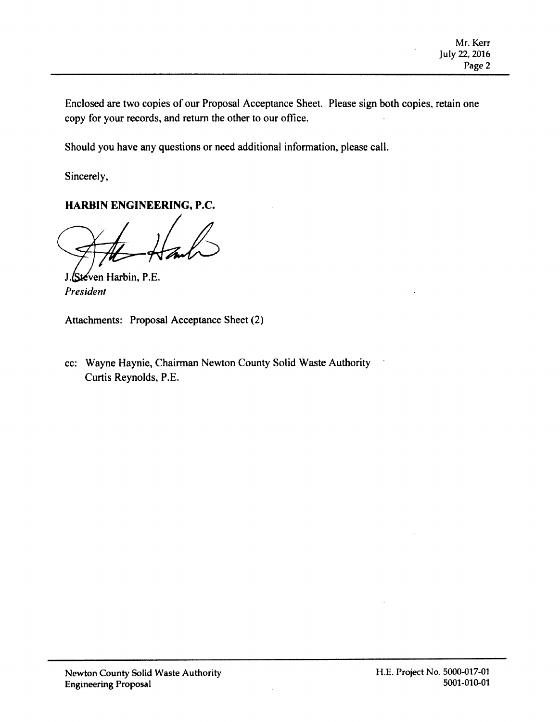Enclosed are two copies of our Proposal Acceptance Sheet. Please sign both copies, retain one copy for your records, and return the other to our office.

Should you have any questions or need additional information, please call.

Sincerely,

## HARBIN ENGINEERING, P.C.

 $\frac{1}{\sqrt{1-\frac{1}{\sqrt{1-\frac{1}{\sqrt{1-\frac{1}{\sqrt{1-\frac{1}{\sqrt{1-\frac{1}{\sqrt{1-\frac{1}{\sqrt{1-\frac{1}{\sqrt{1-\frac{1}{\sqrt{1-\frac{1}{\sqrt{1-\frac{1}{\sqrt{1-\frac{1}{\sqrt{1-\frac{1}{\sqrt{1-\frac{1}{\sqrt{1-\frac{1}{\sqrt{1-\frac{1}{\sqrt{1-\frac{1}{\sqrt{1-\frac{1}{\sqrt{1-\frac{1}{\sqrt{1-\frac{1}{\sqrt{1-\frac{1}{\sqrt{1-\frac{1}{\sqrt{1-\frac{1}{\sqrt{1-\frac{1}{\sqrt{1-\frac{1$ 

J. Steven Harbin, P.E. President

Attachments: Proposal Acceptance Sheet (2)

cc: Wayne Haynie, Chairman Newton County Solid Waste Authority Curtis Reynolds, P.E.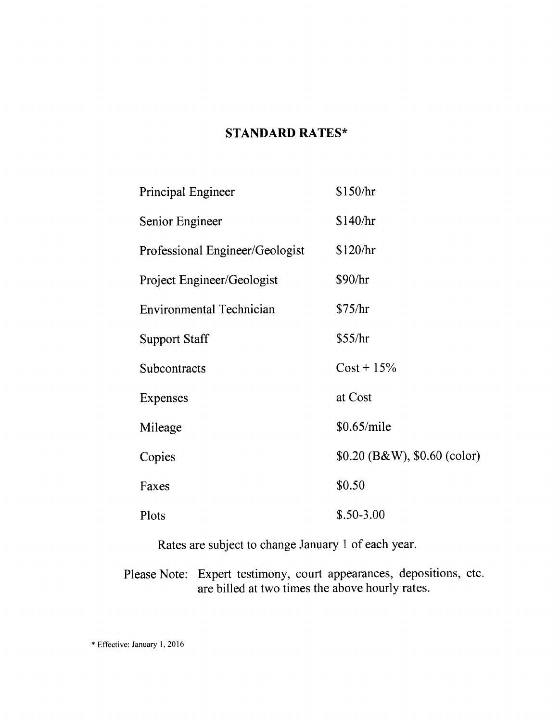# STANDARD RATES\*

| Principal Engineer              | \$150/hr                       |  |  |  |  |  |
|---------------------------------|--------------------------------|--|--|--|--|--|
| Senior Engineer                 | \$140/hr                       |  |  |  |  |  |
| Professional Engineer/Geologist | \$120/hr                       |  |  |  |  |  |
| Project Engineer/Geologist      | \$90/hr                        |  |  |  |  |  |
| <b>Environmental Technician</b> | \$75/hr                        |  |  |  |  |  |
| <b>Support Staff</b>            | \$55/hr                        |  |  |  |  |  |
| Subcontracts                    | $Cost + 15\%$                  |  |  |  |  |  |
| Expenses                        | at Cost                        |  |  |  |  |  |
| Mileage                         | \$0.65/mile                    |  |  |  |  |  |
| Copies                          | $$0.20$ (B&W), $$0.60$ (color) |  |  |  |  |  |
| Faxes                           | \$0.50                         |  |  |  |  |  |
| Plots                           | $$.50-3.00$                    |  |  |  |  |  |

Rates are subject to change January <sup>1</sup> of each year.

Please Note: Expert testimony, court appearances, depositions, etc. are billed at two times the above hourly rates.

Effective: January 1, 2016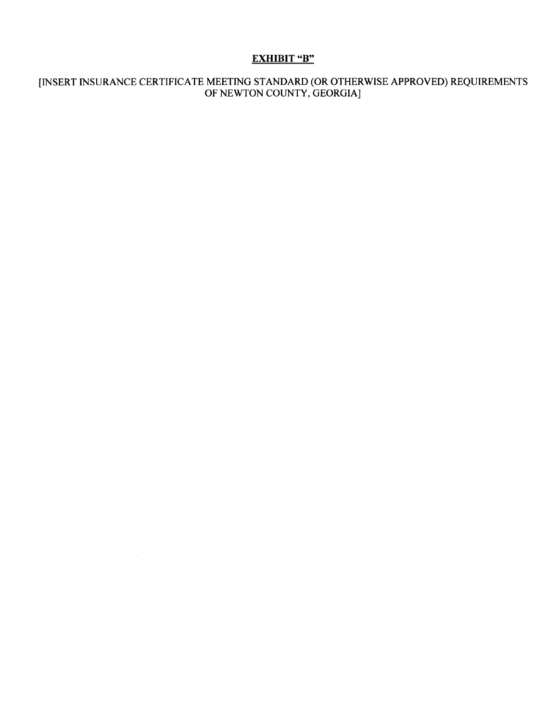## EXHIBIT "B"

#### INSERT INSURANCE CERTIFICATE MEETING STANDARD( OR OTHERWISE APPROVED) REQUIREMENTS OF NEWTON COUNTY, GEORGIA]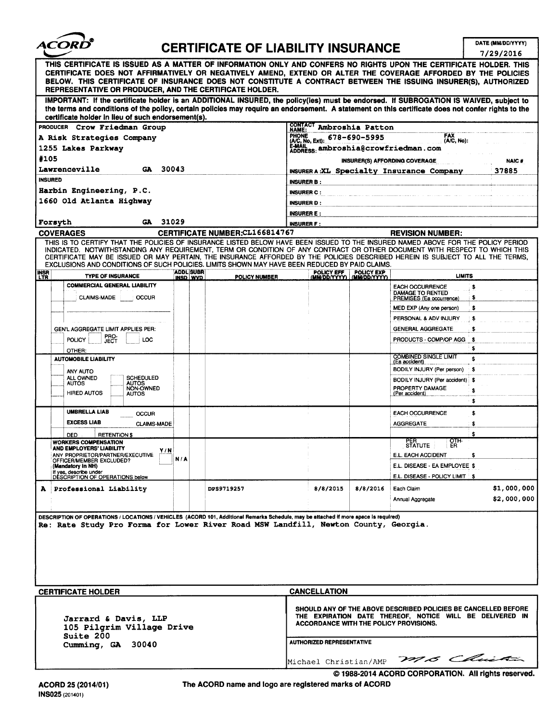

# CERTIFICATE OF LIABILITY INSURANCE  $\sqrt{\frac{DATE (MMDDVYYYY)}{7/29/2016}}$

|                                                                                                                                                                                                                                                                                                                                                                                                                                                                                                    |                              |                                                                                                                                                                                    | 1/23/2010     |  |  |  |
|----------------------------------------------------------------------------------------------------------------------------------------------------------------------------------------------------------------------------------------------------------------------------------------------------------------------------------------------------------------------------------------------------------------------------------------------------------------------------------------------------|------------------------------|------------------------------------------------------------------------------------------------------------------------------------------------------------------------------------|---------------|--|--|--|
| THIS CERTIFICATE IS ISSUED AS A MATTER OF INFORMATION ONLY AND CONFERS NO RIGHTS UPON THE CERTIFICATE HOLDER. THIS<br>CERTIFICATE DOES NOT AFFIRMATIVELY OR NEGATIVELY AMEND, EXTEND OR ALTER THE COVERAGE AFFORDED BY THE POLICIES<br>BELOW. THIS CERTIFICATE OF INSURANCE DOES NOT CONSTITUTE A CONTRACT BETWEEN THE ISSUING INSURER(S), AUTHORIZED<br>REPRESENTATIVE OR PRODUCER, AND THE CERTIFICATE HOLDER.                                                                                   |                              |                                                                                                                                                                                    |               |  |  |  |
| IMPORTANT: If the certificate holder is an ADDITIONAL INSURED, the policy(ies) must be endorsed. If SUBROGATION IS WAIVED, subject to<br>the terms and conditions of the policy, certain policies may require an endorsement. A statement on this certificate does not confer rights to the<br>certificate holder in lieu of such endorsement(s).                                                                                                                                                  |                              |                                                                                                                                                                                    |               |  |  |  |
| PRODUCER Crow Friedman Group                                                                                                                                                                                                                                                                                                                                                                                                                                                                       |                              | CONTACT Ambroshia Patton                                                                                                                                                           |               |  |  |  |
|                                                                                                                                                                                                                                                                                                                                                                                                                                                                                                    | (A/C, No, Ext): 678-690-5995 | <b>FAX</b>                                                                                                                                                                         |               |  |  |  |
| A Risk Strategies Company                                                                                                                                                                                                                                                                                                                                                                                                                                                                          |                              | (A/C, No):                                                                                                                                                                         |               |  |  |  |
| 1255 Lakes Parkway                                                                                                                                                                                                                                                                                                                                                                                                                                                                                 |                              | E-MAIL ambroshia@crowfriedman.com                                                                                                                                                  |               |  |  |  |
| #105                                                                                                                                                                                                                                                                                                                                                                                                                                                                                               |                              | <b>INSURER(S) AFFORDING COVERAGE</b>                                                                                                                                               | <b>NAIC#</b>  |  |  |  |
| Lawrenceville<br>30043<br>GA.                                                                                                                                                                                                                                                                                                                                                                                                                                                                      |                              | <b>INSURERA:XL Specialty Insurance Company</b>                                                                                                                                     | 37885         |  |  |  |
| <b>INSURED</b>                                                                                                                                                                                                                                                                                                                                                                                                                                                                                     |                              |                                                                                                                                                                                    |               |  |  |  |
| Harbin Engineering, P.C.                                                                                                                                                                                                                                                                                                                                                                                                                                                                           | <b>INSURER C:</b>            |                                                                                                                                                                                    |               |  |  |  |
| 1660 Old Atlanta Highway                                                                                                                                                                                                                                                                                                                                                                                                                                                                           | <b>INSURER D:</b>            |                                                                                                                                                                                    |               |  |  |  |
|                                                                                                                                                                                                                                                                                                                                                                                                                                                                                                    | <b>INSURER E:</b>            |                                                                                                                                                                                    |               |  |  |  |
| 31029<br>Forsyth<br>GA                                                                                                                                                                                                                                                                                                                                                                                                                                                                             | <b>INSURER F:</b>            |                                                                                                                                                                                    |               |  |  |  |
| CERTIFICATE NUMBER:CL166814767<br><b>COVERAGES</b>                                                                                                                                                                                                                                                                                                                                                                                                                                                 |                              | <b>REVISION NUMBER:</b>                                                                                                                                                            |               |  |  |  |
| THIS IS TO CERTIFY THAT THE POLICIES OF INSURANCE LISTED BELOW HAVE BEEN ISSUED TO THE INSURED NAMED ABOVE FOR THE POLICY PERIOD<br>INDICATED. NOTWITHSTANDING ANY REQUIREMENT, TERM OR CONDITION OF ANY CONTRACT OR OTHER DOCUMENT WITH RESPECT TO WHICH THIS<br>CERTIFICATE MAY BE ISSUED OR MAY PERTAIN, THE INSURANCE AFFORDED BY THE POLICIES DESCRIBED HEREIN IS SUBJECT TO ALL THE TERMS,<br>EXCLUSIONS AND CONDITIONS OF SUCH POLICIES. LIMITS SHOWN MAY HAVE BEEN REDUCED BY PAID CLAIMS. |                              |                                                                                                                                                                                    |               |  |  |  |
| <b>ADDL SUBR</b><br><b>INSR</b><br><b>TYPE OF INSURANCE</b><br>INSD WVD                                                                                                                                                                                                                                                                                                                                                                                                                            | <b>POLICY NUMBER</b>         | POLICY EFF POLICY EXP<br>(MM/DD/YYYY) (MM/DD/YYYY)                                                                                                                                 | <b>LIMITS</b> |  |  |  |
| <b>COMMERCIAL GENERAL LIABILITY</b><br><b>CLAIMS-MADE</b><br><b>OCCUR</b>                                                                                                                                                                                                                                                                                                                                                                                                                          |                              | <b>EACH OCCURRENCE</b><br><b>DAMAGE TO RENTED</b><br>PREMISES (Ea occurrence)                                                                                                      | \$<br>\$      |  |  |  |
|                                                                                                                                                                                                                                                                                                                                                                                                                                                                                                    |                              | MED EXP (Any one person)                                                                                                                                                           | \$            |  |  |  |
|                                                                                                                                                                                                                                                                                                                                                                                                                                                                                                    |                              | PERSONAL & ADV INJURY                                                                                                                                                              | \$            |  |  |  |
| GEN'L AGGREGATE LIMIT APPLIES PER:                                                                                                                                                                                                                                                                                                                                                                                                                                                                 |                              | <b>GENERAL AGGREGATE</b>                                                                                                                                                           | \$            |  |  |  |
| <b>FRO-</b><br>POLICY<br>LOC                                                                                                                                                                                                                                                                                                                                                                                                                                                                       |                              | PRODUCTS - COMP/OP AGG                                                                                                                                                             | - \$          |  |  |  |
|                                                                                                                                                                                                                                                                                                                                                                                                                                                                                                    |                              |                                                                                                                                                                                    | \$            |  |  |  |
| OTHER:<br><b>AUTOMOBILE LIABILITY</b>                                                                                                                                                                                                                                                                                                                                                                                                                                                              |                              | COMBINED SINGLE LIMIT                                                                                                                                                              | \$            |  |  |  |
|                                                                                                                                                                                                                                                                                                                                                                                                                                                                                                    |                              | (Ea accident)                                                                                                                                                                      |               |  |  |  |
| ANY AUTO<br>ALL OWNED<br><b>SCHEDULED</b>                                                                                                                                                                                                                                                                                                                                                                                                                                                          |                              | BODILY INJURY (Per person)                                                                                                                                                         | \$            |  |  |  |
| <b>AUTOS</b><br><b>AUTOS</b><br>NON-OWNED                                                                                                                                                                                                                                                                                                                                                                                                                                                          |                              | BODILY INJURY (Per accident) \$<br>PROPERTY DAMAGE                                                                                                                                 |               |  |  |  |
| <b>HIRED AUTOS</b><br><b>AUTOS</b>                                                                                                                                                                                                                                                                                                                                                                                                                                                                 |                              | (Per accident)                                                                                                                                                                     | \$            |  |  |  |
|                                                                                                                                                                                                                                                                                                                                                                                                                                                                                                    |                              |                                                                                                                                                                                    | \$            |  |  |  |
| <b>UMBRELLA LIAB</b><br>OCCUR                                                                                                                                                                                                                                                                                                                                                                                                                                                                      |                              | <b>EACH OCCURRENCE</b>                                                                                                                                                             | \$            |  |  |  |
| <b>EXCESS LIAB</b><br><b>CLAIMS-MADE</b>                                                                                                                                                                                                                                                                                                                                                                                                                                                           |                              | <b>AGGREGATE</b>                                                                                                                                                                   | \$            |  |  |  |
| DED<br><b>RETENTION \$</b>                                                                                                                                                                                                                                                                                                                                                                                                                                                                         |                              |                                                                                                                                                                                    | \$            |  |  |  |
| <b>WORKERS COMPENSATION</b><br>AND EMPLOYERS' LIABILITY                                                                                                                                                                                                                                                                                                                                                                                                                                            |                              | отн-<br>PER<br>STATUTE<br>ER.                                                                                                                                                      |               |  |  |  |
| Y/N<br>ANY PROPRIETOR/PARTNER/EXECUTIVE<br>N/A                                                                                                                                                                                                                                                                                                                                                                                                                                                     |                              | <b>E.L. EACH ACCIDENT</b>                                                                                                                                                          | \$            |  |  |  |
| OFFICER/MEMBER EXCLUDED?<br>(Mandatory in NH)                                                                                                                                                                                                                                                                                                                                                                                                                                                      |                              | E.L. DISEASE - EA EMPLOYEE \$                                                                                                                                                      |               |  |  |  |
| If yes, describe under<br>DESCRIPTION OF OPERATIONS below                                                                                                                                                                                                                                                                                                                                                                                                                                          |                              | E.L. DISEASE - POLICY LIMIT \$                                                                                                                                                     |               |  |  |  |
| A Professional Liability<br><b>DPS9719257</b>                                                                                                                                                                                                                                                                                                                                                                                                                                                      | 8/8/2015                     | 8/8/2016<br>Each Claim                                                                                                                                                             | \$1,000,000   |  |  |  |
|                                                                                                                                                                                                                                                                                                                                                                                                                                                                                                    |                              | Annual Aggregate                                                                                                                                                                   | \$2,000,000   |  |  |  |
|                                                                                                                                                                                                                                                                                                                                                                                                                                                                                                    |                              |                                                                                                                                                                                    |               |  |  |  |
| DESCRIPTION OF OPERATIONS / LOCATIONS / VEHICLES (ACORD 101, Additional Remarks Schedule, may be attached if more space is required)<br>Re: Rate Study Pro Forma for Lower River Road MSW Landfill, Newton County, Georgia.                                                                                                                                                                                                                                                                        |                              |                                                                                                                                                                                    |               |  |  |  |
|                                                                                                                                                                                                                                                                                                                                                                                                                                                                                                    |                              |                                                                                                                                                                                    |               |  |  |  |
| <b>CERTIFICATE HOLDER</b>                                                                                                                                                                                                                                                                                                                                                                                                                                                                          | <b>CANCELLATION</b>          |                                                                                                                                                                                    |               |  |  |  |
| Jarrard & Davis, LLP<br>105 Pilgrim Village Drive<br><b>Suite 200</b>                                                                                                                                                                                                                                                                                                                                                                                                                              |                              | <b>SHOULD ANY OF THE ABOVE DESCRIBED POLICIES BE CANCELLED BEFORE</b><br>THE EXPIRATION DATE THEREOF, NOTICE WILL BE DELIVERED IN<br><b>ACCORDANCE WITH THE POLICY PROVISIONS.</b> |               |  |  |  |
| <b>AUTHORIZED REPRESENTATIVE</b><br>Cumming, GA 30040                                                                                                                                                                                                                                                                                                                                                                                                                                              |                              |                                                                                                                                                                                    |               |  |  |  |
| MG Christin                                                                                                                                                                                                                                                                                                                                                                                                                                                                                        |                              |                                                                                                                                                                                    |               |  |  |  |
| Michael Christian/AMP                                                                                                                                                                                                                                                                                                                                                                                                                                                                              |                              |                                                                                                                                                                                    |               |  |  |  |
| © 1988-2014 ACORD CORPORATION. All rights reserved.                                                                                                                                                                                                                                                                                                                                                                                                                                                |                              |                                                                                                                                                                                    |               |  |  |  |

ACORD 25( 2014/01) The ACORD name and logo are registered marks of ACORD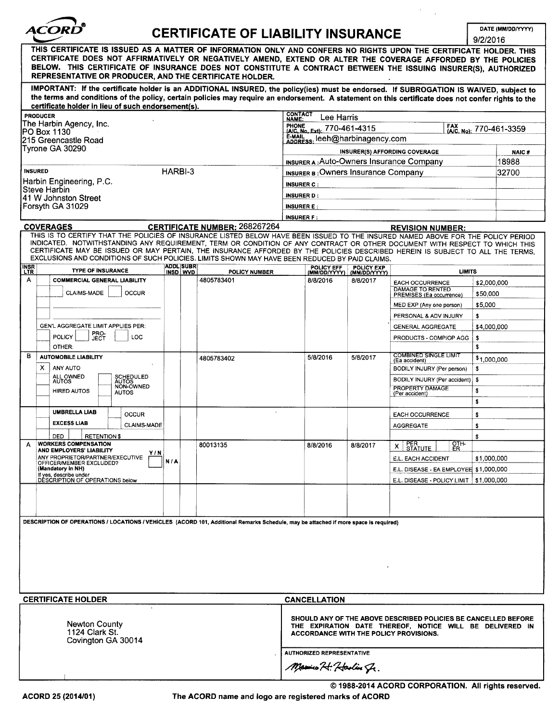| <i><b>ACORD</b></i> |
|---------------------|
|                     |

# **CERTIFICATE OF LIABILITY INSURANCE**

DATE (MM/DD/YYYY)  $120016$ 

 $\bar{ }$  $\mathcal{L}$ 

|                                                                                                                                                                                                                                                                                                                                                                                                                  |                              |                                  |                                                                                                                                                                      |                       |                                                            |                            |                                                                 | 9/2/2016                |                             |
|------------------------------------------------------------------------------------------------------------------------------------------------------------------------------------------------------------------------------------------------------------------------------------------------------------------------------------------------------------------------------------------------------------------|------------------------------|----------------------------------|----------------------------------------------------------------------------------------------------------------------------------------------------------------------|-----------------------|------------------------------------------------------------|----------------------------|-----------------------------------------------------------------|-------------------------|-----------------------------|
| THIS CERTIFICATE IS ISSUED AS A MATTER OF INFORMATION ONLY AND CONFERS NO RIGHTS UPON THE CERTIFICATE HOLDER. THIS<br>CERTIFICATE DOES NOT AFFIRMATIVELY OR NEGATIVELY AMEND, EXTEND OR ALTER THE COVERAGE AFFORDED BY THE POLICIES<br>BELOW. THIS CERTIFICATE OF INSURANCE DOES NOT CONSTITUTE A CONTRACT BETWEEN THE ISSUING INSURER(S), AUTHORIZED<br>REPRESENTATIVE OR PRODUCER, AND THE CERTIFICATE HOLDER. |                              |                                  |                                                                                                                                                                      |                       |                                                            |                            |                                                                 |                         |                             |
| IMPORTANT: If the certificate holder is an ADDITIONAL INSURED, the policy(ies) must be endorsed. If SUBROGATION IS WAIVED, subject to<br>the terms and conditions of the policy, certain policies may require an endorsement. A statement on this certificate does not confer rights to the                                                                                                                      |                              |                                  |                                                                                                                                                                      |                       |                                                            |                            |                                                                 |                         |                             |
| certificate holder in lieu of such endorsement(s).<br><b>PRODUCER</b>                                                                                                                                                                                                                                                                                                                                            |                              |                                  |                                                                                                                                                                      | CONTACT               |                                                            |                            |                                                                 |                         |                             |
| The Harbin Agency, Inc.                                                                                                                                                                                                                                                                                                                                                                                          |                              |                                  |                                                                                                                                                                      | NAME:<br><b>PHONE</b> | Lee Harris<br><b>FRUNE</b><br>(A/C, No. Ext): 770-461-4315 |                            |                                                                 |                         | FAX (A/C, No): 770-461-3359 |
| PO Box 1130<br>l215 Greencastle Road                                                                                                                                                                                                                                                                                                                                                                             |                              |                                  |                                                                                                                                                                      |                       |                                                            |                            |                                                                 |                         |                             |
| Tyrone GA 30290                                                                                                                                                                                                                                                                                                                                                                                                  |                              |                                  | E-MAIL leeh@harbinagency.com<br>INSURER(S) AFFORDING COVERAGE                                                                                                        |                       |                                                            |                            | <b>NAIC#</b>                                                    |                         |                             |
|                                                                                                                                                                                                                                                                                                                                                                                                                  |                              |                                  | <b>INSURER A: Auto-Owners Insurance Company</b>                                                                                                                      |                       |                                                            |                            | 18988                                                           |                         |                             |
| HARBI-3<br><b>INSURED</b>                                                                                                                                                                                                                                                                                                                                                                                        |                              |                                  | <b>INSURER B: OWNERS INSURANCE COMPANY</b>                                                                                                                           |                       |                                                            |                            | 32700                                                           |                         |                             |
| Harbin Engineering, P.C.<br>Steve Harbin                                                                                                                                                                                                                                                                                                                                                                         |                              |                                  |                                                                                                                                                                      | <b>INSURER C:</b>     |                                                            |                            |                                                                 |                         |                             |
| 41 W Johnston Street                                                                                                                                                                                                                                                                                                                                                                                             |                              |                                  |                                                                                                                                                                      | <b>INSURER D:</b>     |                                                            |                            |                                                                 |                         |                             |
| Forsyth GA 31029                                                                                                                                                                                                                                                                                                                                                                                                 |                              |                                  |                                                                                                                                                                      | <b>INSURER E:</b>     |                                                            |                            |                                                                 |                         |                             |
| <b>COVERAGES</b>                                                                                                                                                                                                                                                                                                                                                                                                 |                              |                                  | <b>CERTIFICATE NUMBER: 268267264</b>                                                                                                                                 | <b>INSURER F:</b>     |                                                            |                            | <b>REVISION NUMBER:</b>                                         |                         |                             |
| THIS IS TO CERTIFY THAT THE POLICIES OF INSURANCE LISTED BELOW HAVE BEEN ISSUED TO THE INSURED NAMED ABOVE FOR THE POLICY PERIOD                                                                                                                                                                                                                                                                                 |                              |                                  |                                                                                                                                                                      |                       |                                                            |                            |                                                                 |                         |                             |
| INDICATED. NOTWITHSTANDING ANY REQUIREMENT, TERM OR CONDITION OF ANY CONTRACT OR OTHER DOCUMENT WITH RESPECT TO WHICH THIS<br>CERTIFICATE MAY BE ISSUED OR MAY PERTAIN, THE INSURANCE AFFORDED BY THE POLICIES DESCRIBED HEREIN IS SUBJECT TO ALL THE TERMS,<br>EXCLUSIONS AND CONDITIONS OF SUCH POLICIES. LIMITS SHOWN MAY HAVE BEEN REDUCED BY PAID CLAIMS.                                                   |                              |                                  |                                                                                                                                                                      |                       |                                                            |                            |                                                                 |                         |                             |
| <b>INSR</b><br>LTR<br><b>TYPE OF INSURANCE</b>                                                                                                                                                                                                                                                                                                                                                                   | <b>ADDL</b> SUBR<br>INSD WVD |                                  | <b>POLICY NUMBER</b>                                                                                                                                                 |                       | POLICY EFF<br>(MM/DD/YYYY)                                 | POLICY EXP<br>(MM/DD/YYYY) | <b>LIMITS</b>                                                   |                         |                             |
| A<br><b>COMMERCIAL GENERAL LIABILITY</b><br>CLAIMS-MADE<br>OCCUR                                                                                                                                                                                                                                                                                                                                                 |                              |                                  | 4805783401                                                                                                                                                           |                       | 8/8/2016                                                   | 8/8/2017                   | EACH OCCURRENCE<br>DAMAGE TO RENTED<br>PREMISES (Ea occurrence) | \$2,000,000<br>\$50,000 |                             |
|                                                                                                                                                                                                                                                                                                                                                                                                                  |                              |                                  |                                                                                                                                                                      |                       |                                                            |                            | MED EXP (Any one person)                                        | \$5,000                 |                             |
|                                                                                                                                                                                                                                                                                                                                                                                                                  |                              |                                  |                                                                                                                                                                      |                       |                                                            |                            | PERSONAL & ADV INJURY                                           | \$                      |                             |
| GEN'L AGGREGATE LIMIT APPLIES PER:                                                                                                                                                                                                                                                                                                                                                                               |                              |                                  |                                                                                                                                                                      |                       |                                                            |                            | <b>GENERAL AGGREGATE</b>                                        | \$4,000,000             |                             |
| PRO-<br>JECT<br><b>POLICY</b><br>LOC<br>OTHER:                                                                                                                                                                                                                                                                                                                                                                   |                              |                                  |                                                                                                                                                                      |                       |                                                            |                            | PRODUCTS - COMP/OP AGG                                          | \$<br>\$                |                             |
| в<br><b>AUTOMOBILE LIABILITY</b>                                                                                                                                                                                                                                                                                                                                                                                 |                              |                                  | 4805783402                                                                                                                                                           |                       | 5/8/2016                                                   | 5/8/2017                   | <b>COMBINED SINGLE LIMIT</b><br>(Ea accident)                   | \$1,000,000             |                             |
| x.<br>ANY AUTO                                                                                                                                                                                                                                                                                                                                                                                                   |                              |                                  |                                                                                                                                                                      |                       |                                                            |                            | BODILY INJURY (Per person)                                      | \$                      |                             |
| ALL OWNED<br>AUTOS<br>SCHEDULED<br>AUTOS<br>NON-OWNED                                                                                                                                                                                                                                                                                                                                                            |                              |                                  |                                                                                                                                                                      |                       |                                                            |                            | BODILY INJURY (Per accident)<br>PROPERTY DAMAGE                 | \$                      |                             |
| <b>HIRED AUTOS</b><br><b>AUTOS</b>                                                                                                                                                                                                                                                                                                                                                                               |                              |                                  |                                                                                                                                                                      |                       |                                                            |                            | (Per accident)                                                  | \$<br>s                 |                             |
| <b>UMBRELLA LIAB</b><br><b>OCCUR</b>                                                                                                                                                                                                                                                                                                                                                                             |                              |                                  |                                                                                                                                                                      |                       |                                                            |                            | <b>EACH OCCURRENCE</b>                                          | \$                      |                             |
| <b>EXCESS LIAB</b><br>CLAIMS-MADE                                                                                                                                                                                                                                                                                                                                                                                |                              |                                  |                                                                                                                                                                      |                       |                                                            |                            | <b>AGGREGATE</b>                                                | \$                      |                             |
| <b>DED</b><br><b>RETENTION \$</b>                                                                                                                                                                                                                                                                                                                                                                                |                              |                                  |                                                                                                                                                                      |                       |                                                            |                            |                                                                 | \$                      |                             |
| <b>WORKERS COMPENSATION</b><br>A<br>AND EMPLOYERS' LIABILITY<br>Y/N                                                                                                                                                                                                                                                                                                                                              |                              |                                  | 80013135                                                                                                                                                             |                       | 8/8/2016                                                   | 8/8/2017                   | PER<br>STATUTE ER<br>OTH-<br>x                                  |                         |                             |
| ANY PROPRIETOR/PARTNER/EXECUTIVE<br>OFFICER/MEMBER EXCLUDED?                                                                                                                                                                                                                                                                                                                                                     | N/A                          |                                  |                                                                                                                                                                      |                       |                                                            |                            | E.L. EACH ACCIDENT                                              | \$1,000,000             |                             |
| (Mandatory in NH)<br>If yes, describe under<br>DESCRIPTION OF OPERATIONS below                                                                                                                                                                                                                                                                                                                                   |                              |                                  |                                                                                                                                                                      |                       |                                                            |                            | E.L. DISEASE - EA EMPLOYEE \$1,000,000                          |                         |                             |
|                                                                                                                                                                                                                                                                                                                                                                                                                  |                              |                                  |                                                                                                                                                                      |                       |                                                            |                            | E.L. DISEASE - POLICY LIMIT   \$1,000,000                       |                         |                             |
|                                                                                                                                                                                                                                                                                                                                                                                                                  |                              |                                  |                                                                                                                                                                      |                       |                                                            |                            |                                                                 |                         |                             |
| DESCRIPTION OF OPERATIONS / LOCATIONS / VEHICLES (ACORD 101, Additional Remarks Schedule, may be attached if more space is required)                                                                                                                                                                                                                                                                             |                              |                                  |                                                                                                                                                                      |                       |                                                            |                            |                                                                 |                         |                             |
|                                                                                                                                                                                                                                                                                                                                                                                                                  |                              |                                  |                                                                                                                                                                      |                       |                                                            |                            |                                                                 |                         |                             |
|                                                                                                                                                                                                                                                                                                                                                                                                                  |                              |                                  |                                                                                                                                                                      |                       |                                                            |                            |                                                                 |                         |                             |
|                                                                                                                                                                                                                                                                                                                                                                                                                  |                              |                                  |                                                                                                                                                                      |                       |                                                            |                            |                                                                 |                         |                             |
|                                                                                                                                                                                                                                                                                                                                                                                                                  |                              |                                  |                                                                                                                                                                      |                       |                                                            |                            |                                                                 |                         |                             |
|                                                                                                                                                                                                                                                                                                                                                                                                                  |                              |                                  |                                                                                                                                                                      |                       |                                                            |                            |                                                                 |                         |                             |
| <b>CERTIFICATE HOLDER</b>                                                                                                                                                                                                                                                                                                                                                                                        |                              |                                  |                                                                                                                                                                      |                       | CANCELLATION                                               |                            |                                                                 |                         |                             |
| Newton County<br>1124 Clark St.<br>Covington GA 30014                                                                                                                                                                                                                                                                                                                                                            |                              |                                  | SHOULD ANY OF THE ABOVE DESCRIBED POLICIES BE CANCELLED BEFORE<br>THE EXPIRATION DATE THEREOF, NOTICE WILL BE DELIVERED IN<br>ACCORDANCE WITH THE POLICY PROVISIONS. |                       |                                                            |                            |                                                                 |                         |                             |
|                                                                                                                                                                                                                                                                                                                                                                                                                  |                              | <b>AUTHORIZED REPRESENTATIVE</b> |                                                                                                                                                                      |                       |                                                            |                            |                                                                 |                         |                             |
|                                                                                                                                                                                                                                                                                                                                                                                                                  |                              |                                  |                                                                                                                                                                      |                       | Marino 24. Harlin Jr.                                      |                            |                                                                 |                         |                             |
|                                                                                                                                                                                                                                                                                                                                                                                                                  |                              |                                  |                                                                                                                                                                      |                       |                                                            |                            |                                                                 |                         |                             |

ACORD 25 (2014/01) The ACORD name and logo are registered marks of ACORD

© 1988-2014 ACORD CORPORATION. All rights reserved.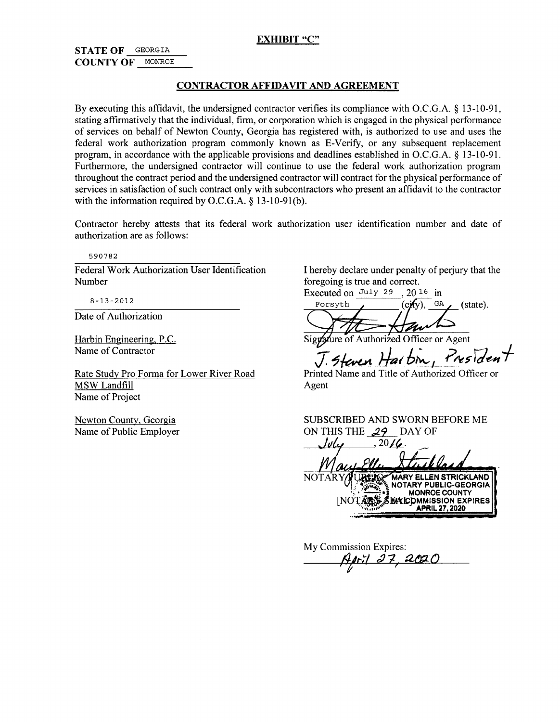#### **EXHIBIT** "C"

### STATE OF GEORGIA COUNTY OF MONROE

#### CONTRACTOR AFFIDAVIT AND AGREEMENT

By executing this affidavit, the undersigned contractor verifies its compliance with O.C.G.A.  $\S$  13-10-91, stating affirmatively that the individual, firm, or corporation which is engaged in the physical performance of services on behalf of Newton County, Georgia has registered with, is authorized to use and uses the federal work authorization program commonly known as E-Verify, or any subsequent replacement program, in accordance with the applicable provisions and deadlines established in O.C.G.A.  $\S$  13-10-91. Furthermore, the undersigned contractor will continue to use the federal work authorization program throughout the contract period and the undersigned contractor will contract for the physical performance of services in satisfaction of such contract only with subcontractors who present an affidavit to the contractor with the information required by O.C.G.A.  $\S$  13-10-91(b).

Contractor hereby attests that its federal work authorization user identification number and date of authorization are as follows:

590782

Federal Work Authorization User Identification I hereby declare under penalty of perjury that the Number

Date of Authorization

Harbin Engineering, P.C.

MSW Landfill Name of Project

foregoing is true and correct. Executed on July 29,  $20^{16}$  in

 $8-13-2012$  Forsyth  $($  $(c\mathbf{H}v)$ ,  $(state).$ 

Harbin Engineering, P.C.<br>Name of Contractor<br>T. Steven Hart bin, President 5 Steven 7

Rate Study Pro Forma for Lower River Road Printed Name and Title of Authorized Officer or<br>MSW Landfill Agent

Newton County, Georgia SUBSCRIBED AND SWORN BEFORE ME Name of Public Employer ON THIS THE  $29$  DAY OF<br> $\sqrt{v \omega}$ ,  $20/\mathcal{C}$ . ON THIS THE  $29.001$ 

NOTARY/FURTIGE MARY ELLEN STRICKLAND NOTARY PUBLIC-GEORGIA **MONROE COUNTY DMMISSION EXPIRES** APRIL 27, 2020

My Commission Expires: April 27, 2020